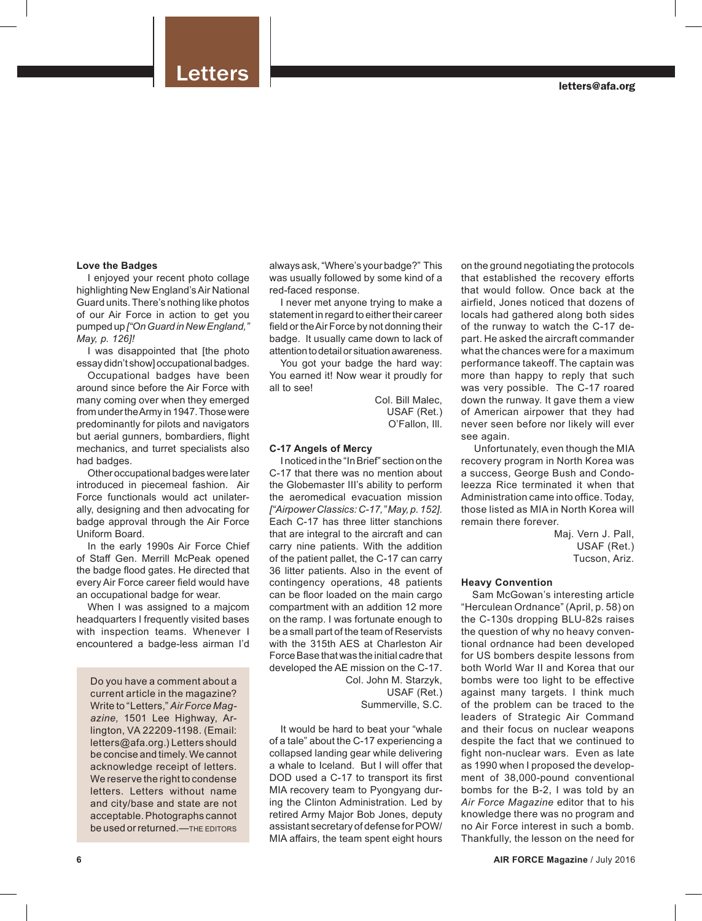# Letters

# **Love the Badges**

I enjoyed your recent photo collage highlighting New England's Air National Guard units. There's nothing like photos of our Air Force in action to get you pumped up *["On Guard in New England," May, p. 126]!*

I was disappointed that [the photo essay didn't show] occupational badges.

Occupational badges have been around since before the Air Force with many coming over when they emerged from under the Army in 1947. Those were predominantly for pilots and navigators but aerial gunners, bombardiers, flight mechanics, and turret specialists also had badges.

Other occupational badges were later introduced in piecemeal fashion. Air Force functionals would act unilaterally, designing and then advocating for badge approval through the Air Force Uniform Board.

In the early 1990s Air Force Chief of Staff Gen. Merrill McPeak opened the badge flood gates. He directed that every Air Force career field would have an occupational badge for wear.

When I was assigned to a majcom headquarters I frequently visited bases with inspection teams. Whenever I encountered a badge-less airman I'd

Do you have a comment about a current article in the magazine? Write to "Letters," *Air Force Magazine,* 1501 Lee Highway, Arlington, VA 22209-1198. (Email: letters@afa.org.) Letters should be concise and timely. We cannot acknowledge receipt of letters. We reserve the right to condense letters. Letters without name and city/base and state are not acceptable. Photographs cannot be used or returned.—THE EDITORS

always ask, "Where's your badge?" This was usually followed by some kind of a red-faced response.

I never met anyone trying to make a statement in regard to either their career field or the Air Force by not donning their badge. It usually came down to lack of attention to detail or situation awareness.

You got your badge the hard way: You earned it! Now wear it proudly for all to see!

> Col. Bill Malec, USAF (Ret.) O'Fallon, Ill.

### **C-17 Angels of Mercy**

I noticed in the "In Brief" section on the C-17 that there was no mention about the Globemaster III's ability to perform the aeromedical evacuation mission *["Airpower Classics: C-17," May, p. 152].*  Each C-17 has three litter stanchions that are integral to the aircraft and can carry nine patients. With the addition of the patient pallet, the C-17 can carry 36 litter patients. Also in the event of contingency operations, 48 patients can be floor loaded on the main cargo compartment with an addition 12 more on the ramp. I was fortunate enough to be a small part of the team of Reservists with the 315th AES at Charleston Air Force Base that was the initial cadre that developed the AE mission on the C-17. Col. John M. Starzyk, USAF (Ret.)

Summerville, S.C.

It would be hard to beat your "whale of a tale" about the C-17 experiencing a collapsed landing gear while delivering a whale to Iceland. But I will offer that DOD used a C-17 to transport its first MIA recovery team to Pyongyang during the Clinton Administration. Led by retired Army Major Bob Jones, deputy assistant secretary of defense for POW/ MIA affairs, the team spent eight hours

on the ground negotiating the protocols that established the recovery efforts that would follow. Once back at the airfield, Jones noticed that dozens of locals had gathered along both sides of the runway to watch the C-17 depart. He asked the aircraft commander what the chances were for a maximum performance takeoff. The captain was more than happy to reply that such was very possible. The C-17 roared down the runway. It gave them a view of American airpower that they had never seen before nor likely will ever see again.

 Unfortunately, even though the MIA recovery program in North Korea was a success, George Bush and Condoleezza Rice terminated it when that Administration came into office. Today, those listed as MIA in North Korea will remain there forever.

> Maj. Vern J. Pall, USAF (Ret.) Tucson, Ariz.

# **Heavy Convention**

Sam McGowan's interesting article "Herculean Ordnance" (April, p. 58) on the C-130s dropping BLU-82s raises the question of why no heavy conventional ordnance had been developed for US bombers despite lessons from both World War II and Korea that our bombs were too light to be effective against many targets. I think much of the problem can be traced to the leaders of Strategic Air Command and their focus on nuclear weapons despite the fact that we continued to fight non-nuclear wars. Even as late as 1990 when I proposed the development of 38,000-pound conventional bombs for the B-2, I was told by an *Air Force Magazine* editor that to his knowledge there was no program and no Air Force interest in such a bomb. Thankfully, the lesson on the need for